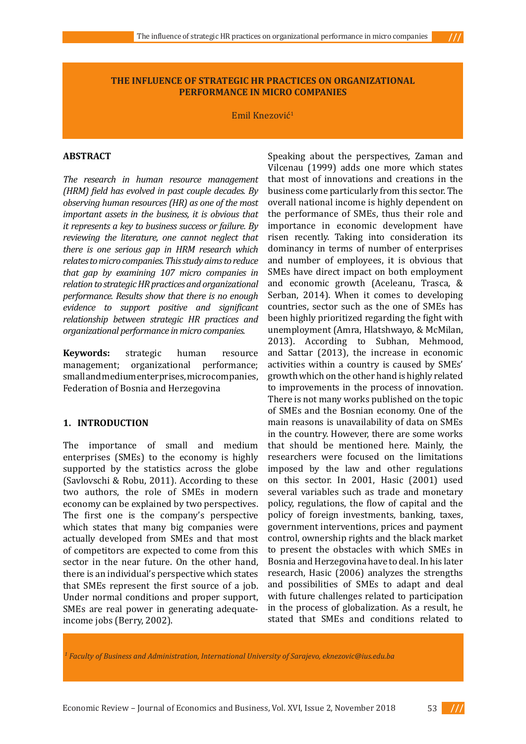## **THE INFLUENCE OF STRATEGIC HR PRACTICES ON ORGANIZATIONAL PERFORMANCE IN MICRO COMPANIES**

Emil Knezović<sup>1</sup>

#### **ABSTRACT**

*The research in human resource management (HRM) field has evolved in past couple decades. By observing human resources (HR) as one of the most important assets in the business, it is obvious that it represents a key to business success or failure. By reviewing the literature, one cannot neglect that there is one serious gap in HRM research which relates to micro companies. This study aims to reduce that gap by examining 107 micro companies in relation to strategic HR practices and organizational performance. Results show that there is no enough evidence to support positive and significant relationship between strategic HR practices and organizational performance in micro companies.*

**Keywords:** strategic human resource management; organizational performance; organizational small and medium enterprises, micro companies, Federation of Bosnia and Herzegovina

#### **1. INTRODUCTION**

The importance of small and medium enterprises (SMEs) to the economy is highly supported by the statistics across the globe (Savlovschi & Robu, 2011). According to these two authors, the role of SMEs in modern economy can be explained by two perspectives. The first one is the company's perspective which states that many big companies were actually developed from SMEs and that most of competitors are expected to come from this sector in the near future. On the other hand, there is an individual's perspective which states that SMEs represent the first source of a job. Under normal conditions and proper support, SMEs are real power in generating adequateincome jobs (Berry, 2002).

Speaking about the perspectives, Zaman and Vilcenau (1999) adds one more which states that most of innovations and creations in the business come particularly from this sector. The overall national income is highly dependent on the performance of SMEs, thus their role and importance in economic development have risen recently. Taking into consideration its dominancy in terms of number of enterprises and number of employees, it is obvious that SMEs have direct impact on both employment and economic growth (Aceleanu, Trasca, & Serban, 2014). When it comes to developing countries, sector such as the one of SMEs has been highly prioritized regarding the fight with unemployment (Amra, Hlatshwayo, & McMilan, 2013). According to Subhan, Mehmood, and Sattar (2013), the increase in economic activities within a country is caused by SMEs' growth which on the other hand is highly related to improvements in the process of innovation. There is not many works published on the topic of SMEs and the Bosnian economy. One of the main reasons is unavailability of data on SMEs in the country. However, there are some works that should be mentioned here. Mainly, the researchers were focused on the limitations imposed by the law and other regulations on this sector. In 2001, Hasic (2001) used several variables such as trade and monetary policy, regulations, the flow of capital and the policy of foreign investments, banking, taxes, government interventions, prices and payment control, ownership rights and the black market to present the obstacles with which SMEs in Bosnia and Herzegovina have to deal. In his later research, Hasic (2006) analyzes the strengths and possibilities of SMEs to adapt and deal with future challenges related to participation in the process of globalization. As a result, he stated that SMEs and conditions related to

*1 Faculty of Business and Administration, International University of Sarajevo, eknezovic@ius.edu.ba* 

Economic Review – Journal of Economics and Business, Vol. XVI, Issue 2, November 2018 53



 $\frac{1}{1}$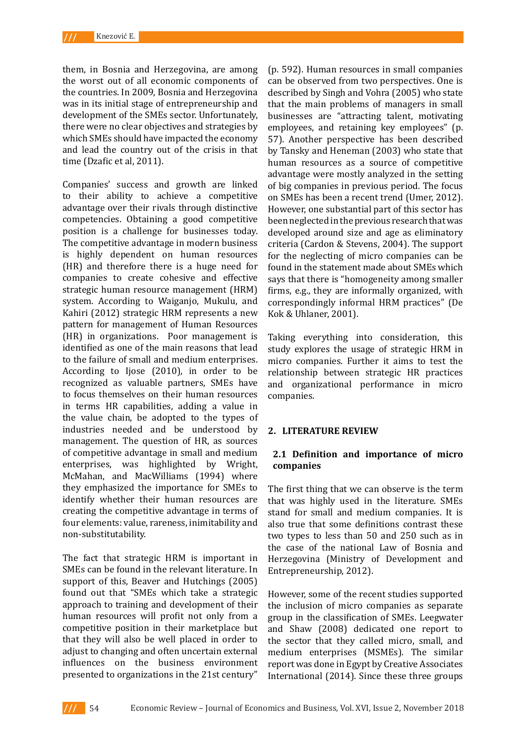them, in Bosnia and Herzegovina, are among the worst out of all economic components of the countries. In 2009, Bosnia and Herzegovina was in its initial stage of entrepreneurship and development of the SMEs sector. Unfortunately, there were no clear objectives and strategies by which SMEs should have impacted the economy and lead the country out of the crisis in that time (Dzafic et al, 2011).

Companies' success and growth are linked to their ability to achieve a competitive advantage over their rivals through distinctive competencies. Obtaining a good competitive position is a challenge for businesses today. The competitive advantage in modern business is highly dependent on human resources (HR) and therefore there is a huge need for companies to create cohesive and effective strategic human resource management (HRM) system. According to Waiganjo, Mukulu, and Kahiri (2012) strategic HRM represents a new pattern for management of Human Resources (HR) in organizations. Poor management is identified as one of the main reasons that lead to the failure of small and medium enterprises. According to Ijose (2010), in order to be recognized as valuable partners, SMEs have to focus themselves on their human resources in terms HR capabilities, adding a value in the value chain, be adopted to the types of industries needed and be understood by management. The question of HR, as sources of competitive advantage in small and medium enterprises, was highlighted by Wright, McMahan, and MacWilliams (1994) where they emphasized the importance for SMEs to identify whether their human resources are creating the competitive advantage in terms of four elements: value, rareness, inimitability and non-substitutability.

The fact that strategic HRM is important in SMEs can be found in the relevant literature. In support of this, Beaver and Hutchings (2005) found out that "SMEs which take a strategic approach to training and development of their human resources will profit not only from a competitive position in their marketplace but that they will also be well placed in order to adjust to changing and often uncertain external influences on the business environment presented to organizations in the 21st century"

(p. 592). Human resources in small companies can be observed from two perspectives. One is described by Singh and Vohra (2005) who state that the main problems of managers in small businesses are "attracting talent, motivating employees, and retaining key employees" (p. 57). Another perspective has been described by Tansky and Heneman (2003) who state that human resources as a source of competitive advantage were mostly analyzed in the setting of big companies in previous period. The focus on SMEs has been a recent trend (Umer, 2012). However, one substantial part of this sector has been neglected in the previous research that was developed around size and age as eliminatory criteria (Cardon & Stevens, 2004). The support for the neglecting of micro companies can be found in the statement made about SMEs which says that there is "homogeneity among smaller firms, e.g., they are informally organized, with correspondingly informal HRM practices" (De Kok & Uhlaner, 2001).

Taking everything into consideration, this study explores the usage of strategic HRM in micro companies. Further it aims to test the relationship between strategic HR practices and organizational performance in micro companies.

### **2. LITERATURE REVIEW**

# **2.1 Definition and importance of micro companies**

The first thing that we can observe is the term that was highly used in the literature. SMEs stand for small and medium companies. It is also true that some definitions contrast these two types to less than 50 and 250 such as in the case of the national Law of Bosnia and Herzegovina (Ministry of Development and Entrepreneurship, 2012).

However, some of the recent studies supported the inclusion of micro companies as separate group in the classification of SMEs. Leegwater and Shaw (2008) dedicated one report to the sector that they called micro, small, and medium enterprises (MSMEs). The similar report was done in Egypt by Creative Associates International (2014). Since these three groups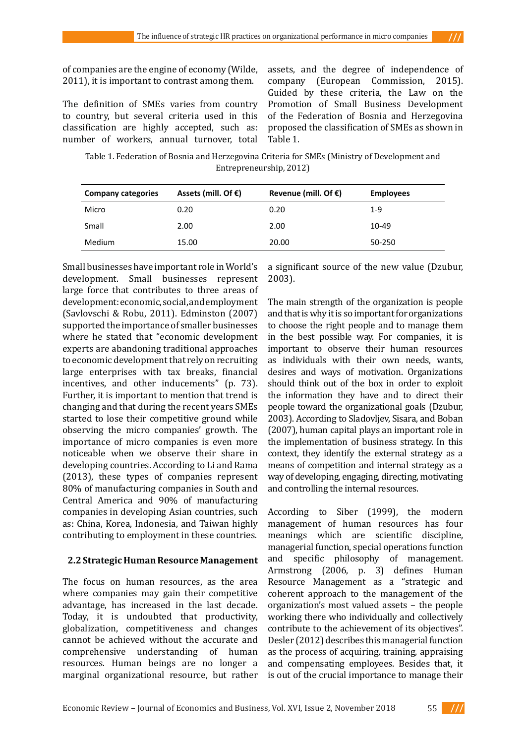of companies are the engine of economy (Wilde, 2011), it is important to contrast among them.

The definition of SMEs varies from country to country, but several criteria used in this classification are highly accepted, such as: number of workers, annual turnover, total

assets, and the degree of independence of company (European Commission, 2015). Guided by these criteria, the Law on the Promotion of Small Business Development of the Federation of Bosnia and Herzegovina proposed the classification of SMEs as shown in Table 1.

Table 1. Federation of Bosnia and Herzegovina Criteria for SMEs (Ministry of Development and Entrepreneurship, 2012)

| <b>Company categories</b> | Assets (mill. Of $\epsilon$ ) | Revenue (mill. Of $\epsilon$ ) | <b>Employees</b> |
|---------------------------|-------------------------------|--------------------------------|------------------|
| Micro                     | 0.20                          | 0.20                           | $1-9$            |
| Small                     | 2.00                          | 2.00                           | 10-49            |
| <b>Medium</b>             | 15.00                         | 20.00                          | 50-250           |

Small businesses have important role in World's development. Small businesses represent large force that contributes to three areas of development: economic, social, and employment (Savlovschi & Robu, 2011). Edminston (2007) supported the importance of smaller businesses where he stated that "economic development experts are abandoning traditional approaches to economic development that rely on recruiting large enterprises with tax breaks, financial incentives, and other inducements" (p. 73). Further, it is important to mention that trend is changing and that during the recent years SMEs started to lose their competitive ground while observing the micro companies' growth. The importance of micro companies is even more noticeable when we observe their share in developing countries. According to Li and Rama (2013), these types of companies represent 80% of manufacturing companies in South and Central America and 90% of manufacturing companies in developing Asian countries, such as: China, Korea, Indonesia, and Taiwan highly contributing to employment in these countries.

# **2.2 Strategic Human Resource Management**

The focus on human resources, as the area where companies may gain their competitive advantage, has increased in the last decade. Today, it is undoubted that productivity, globalization, competitiveness and changes cannot be achieved without the accurate and comprehensive understanding of human resources. Human beings are no longer a marginal organizational resource, but rather a significant source of the new value (Dzubur, 2003).

The main strength of the organization is people and that is why it is so important for organizations to choose the right people and to manage them in the best possible way. For companies, it is important to observe their human resources as individuals with their own needs, wants, desires and ways of motivation. Organizations should think out of the box in order to exploit the information they have and to direct their people toward the organizational goals (Dzubur, 2003). According to Sladovljev, Sisara, and Boban (2007), human capital plays an important role in the implementation of business strategy. In this context, they identify the external strategy as a means of competition and internal strategy as a way of developing, engaging, directing, motivating and controlling the internal resources.

According to Siber (1999), the modern management of human resources has four meanings which are scientific discipline, managerial function, special operations function and specific philosophy of management. Armstrong (2006, p. 3) defines Human Resource Management as a "strategic and coherent approach to the management of the organization's most valued assets – the people working there who individually and collectively contribute to the achievement of its objectives". Desler (2012) describes this managerial function as the process of acquiring, training, appraising and compensating employees. Besides that, it is out of the crucial importance to manage their

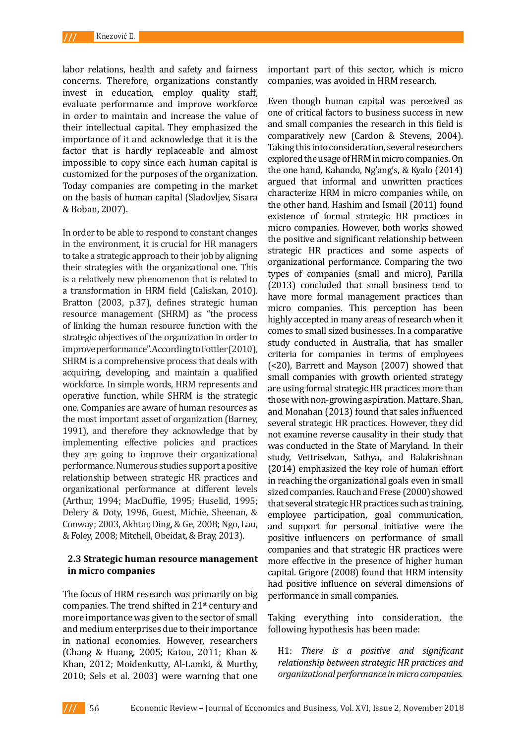labor relations, health and safety and fairness concerns. Therefore, organizations constantly invest in education, employ quality staff, evaluate performance and improve workforce in order to maintain and increase the value of their intellectual capital. They emphasized the importance of it and acknowledge that it is the factor that is hardly replaceable and almost impossible to copy since each human capital is customized for the purposes of the organization. Today companies are competing in the market on the basis of human capital (Sladovljev, Sisara & Boban, 2007).

In order to be able to respond to constant changes in the environment, it is crucial for HR managers to take a strategic approach to their job by aligning their strategies with the organizational one. This is a relatively new phenomenon that is related to a transformation in HRM field (Caliskan, 2010). Bratton (2003, p.37), defines strategic human resource management (SHRM) as "the process of linking the human resource function with the strategic objectives of the organization in order to improve performance". According to Fottler (2010), SHRM is a comprehensive process that deals with acquiring, developing, and maintain a qualified workforce. In simple words, HRM represents and operative function, while SHRM is the strategic one. Companies are aware of human resources as the most important asset of organization (Barney, 1991), and therefore they acknowledge that by implementing effective policies and practices they are going to improve their organizational performance. Numerous studies support a positive relationship between strategic HR practices and organizational performance at different levels (Arthur, 1994; MacDuffie, 1995; Huselid, 1995; Delery & Doty, 1996, Guest, Michie, Sheenan, & Conway; 2003, Akhtar, Ding, & Ge, 2008; Ngo, Lau, & Foley, 2008; Mitchell, Obeidat, & Bray, 2013).

# **2.3 Strategic human resource management in micro companies**

The focus of HRM research was primarily on big companies. The trend shifted in 21<sup>st</sup> century and more importance was given to the sector of small and medium enterprises due to their importance in national economies. However, researchers (Chang & Huang, 2005; Katou, 2011; Khan & Khan, 2012; Moidenkutty, Al-Lamki, & Murthy, 2010; Sels et al. 2003) were warning that one

important part of this sector, which is micro companies, was avoided in HRM research.

Even though human capital was perceived as one of critical factors to business success in new and small companies the research in this field is comparatively new (Cardon & Stevens, 2004). Taking this into consideration, several researchers explored the usage of HRM in micro companies. On the one hand, Kahando, Ng'ang's, & Kyalo (2014) argued that informal and unwritten practices characterize HRM in micro companies while, on the other hand, Hashim and Ismail (2011) found existence of formal strategic HR practices in micro companies. However, both works showed the positive and significant relationship between strategic HR practices and some aspects of organizational performance. Comparing the two types of companies (small and micro), Parilla (2013) concluded that small business tend to have more formal management practices than micro companies. This perception has been highly accepted in many areas of research when it comes to small sized businesses. In a comparative study conducted in Australia, that has smaller criteria for companies in terms of employees (<20), Barrett and Mayson (2007) showed that small companies with growth oriented strategy are using formal strategic HR practices more than those with non-growing aspiration. Mattare, Shan, and Monahan (2013) found that sales influenced several strategic HR practices. However, they did not examine reverse causality in their study that was conducted in the State of Maryland. In their study, Vettriselvan, Sathya, and Balakrishnan (2014) emphasized the key role of human effort in reaching the organizational goals even in small sized companies. Rauch and Frese (2000) showed that several strategic HR practices such as training, employee participation, goal communication, and support for personal initiative were the positive influencers on performance of small companies and that strategic HR practices were more effective in the presence of higher human capital. Grigore (2008) found that HRM intensity had positive influence on several dimensions of performance in small companies.

Taking everything into consideration, the following hypothesis has been made:

H1: *There is a positive and significant relationship between strategic HR practices and organizational performance in micro companies.*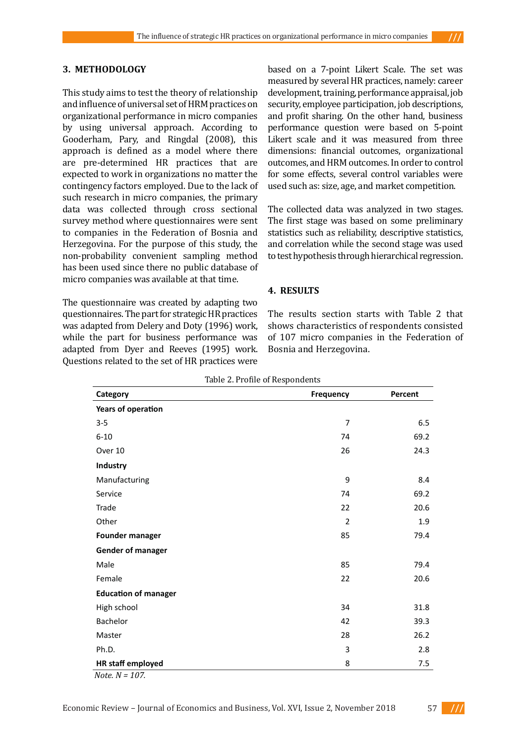# **3. METHODOLOGY**

This study aims to test the theory of relationship and influence of universal set of HRM practices on organizational performance in micro companies by using universal approach. According to Gooderham, Pary, and Ringdal (2008), this approach is defined as a model where there are pre-determined HR practices that are expected to work in organizations no matter the contingency factors employed. Due to the lack of such research in micro companies, the primary data was collected through cross sectional survey method where questionnaires were sent to companies in the Federation of Bosnia and Herzegovina. For the purpose of this study, the non-probability convenient sampling method has been used since there no public database of micro companies was available at that time.

The questionnaire was created by adapting two questionnaires. The part for strategic HR practices was adapted from Delery and Doty (1996) work, while the part for business performance was adapted from Dyer and Reeves (1995) work. Questions related to the set of HR practices were

based on a 7-point Likert Scale. The set was measured by several HR practices, namely: career development, training, performance appraisal, job security, employee participation, job descriptions, and profit sharing. On the other hand, business performance question were based on 5-point Likert scale and it was measured from three dimensions: financial outcomes, organizational outcomes, and HRM outcomes. In order to control for some effects, several control variables were used such as: size, age, and market competition.

The collected data was analyzed in two stages. The first stage was based on some preliminary statistics such as reliability, descriptive statistics, and correlation while the second stage was used to test hypothesis through hierarchical regression.

### **4. RESULTS**

The results section starts with Table 2 that shows characteristics of respondents consisted of 107 micro companies in the Federation of Bosnia and Herzegovina.

| Table 2. Profile of Respondents |           |         |
|---------------------------------|-----------|---------|
| Category                        | Frequency | Percent |
| Years of operation              |           |         |
| $3 - 5$                         | 7         | 6.5     |
| $6 - 10$                        | 74        | 69.2    |
| Over 10                         | 26        | 24.3    |
| Industry                        |           |         |
| Manufacturing                   | 9         | 8.4     |
| Service                         | 74        | 69.2    |
| Trade                           | 22        | 20.6    |
| Other                           | 2         | 1.9     |
| <b>Founder manager</b>          | 85        | 79.4    |
| <b>Gender of manager</b>        |           |         |
| Male                            | 85        | 79.4    |
| Female                          | 22        | 20.6    |
| <b>Education of manager</b>     |           |         |
| High school                     | 34        | 31.8    |
| Bachelor                        | 42        | 39.3    |
| Master                          | 28        | 26.2    |
| Ph.D.                           | 3         | 2.8     |
| HR staff employed               | 8         | 7.5     |

*Note. N = 107.* 

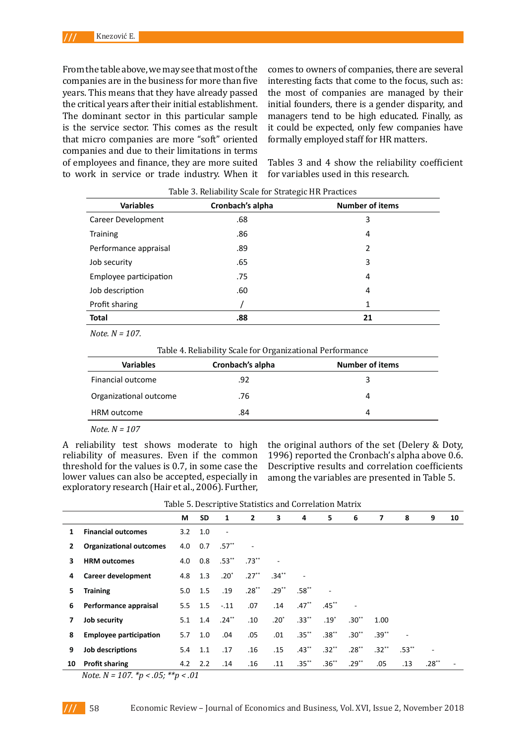From the table above, we may see that most of the companies are in the business for more than five years. This means that they have already passed the critical years after their initial establishment. The dominant sector in this particular sample is the service sector. This comes as the result that micro companies are more "soft" oriented companies and due to their limitations in terms of employees and finance, they are more suited to work in service or trade industry. When it

comes to owners of companies, there are several interesting facts that come to the focus, such as: the most of companies are managed by their initial founders, there is a gender disparity, and managers tend to be high educated. Finally, as it could be expected, only few companies have formally employed staff for HR matters.

Tables 3 and 4 show the reliability coefficient for variables used in this research.

| <b>Variables</b>       | Cronbach's alpha | <b>Number of items</b> |
|------------------------|------------------|------------------------|
| Career Development     | .68              | 3                      |
| <b>Training</b>        | .86              | 4                      |
| Performance appraisal  | .89              | 2                      |
| Job security           | .65              | 3                      |
| Employee participation | .75              | 4                      |
| Job description        | .60              | 4                      |
| Profit sharing         |                  | 1                      |
| <b>Total</b>           | .88              | 21                     |

Table 3. Reliability Scale for Strategic HR Practices

 *Note. N = 107.* 

Table 4. Reliability Scale for Organizational Performance

| <b>Variables</b>       | Cronbach's alpha | <b>Number of items</b> |
|------------------------|------------------|------------------------|
| Financial outcome      | .92              | ર                      |
| Organizational outcome | .76              | 4                      |
| HRM outcome            | .84              | 4                      |
|                        |                  |                        |

 *Note. N = 107*

A reliability test shows moderate to high reliability of measures. Even if the common threshold for the values is 0.7, in some case the lower values can also be accepted, especially in exploratory research (Hair et al., 2006). Further,

the original authors of the set (Delery & Doty, 1996) reported the Cronbach's alpha above 0.6. Descriptive results and correlation coefficients among the variables are presented in Table 5.

|  | Table 5. Descriptive Statistics and Correlation Matrix |  |  |  |  |  |
|--|--------------------------------------------------------|--|--|--|--|--|
|--|--------------------------------------------------------|--|--|--|--|--|

|    |                                | М   | <b>SD</b> | 1                        | $\overline{2}$ | 3       | 4        | 5.       | 6        | 7       | 8        | 9       | 10 |
|----|--------------------------------|-----|-----------|--------------------------|----------------|---------|----------|----------|----------|---------|----------|---------|----|
| 1  | <b>Financial outcomes</b>      | 3.2 | 1.0       | $\overline{\phantom{a}}$ |                |         |          |          |          |         |          |         |    |
| 2  | <b>Organizational outcomes</b> | 4.0 | 0.7       | $.57***$                 |                |         |          |          |          |         |          |         |    |
| 3  | <b>HRM outcomes</b>            | 4.0 | 0.8       | $.53***$                 | $.73***$       | ä,      |          |          |          |         |          |         |    |
| 4  | <b>Career development</b>      | 4.8 | 1.3       | $.20^*$                  | $.27**$        | $.34**$ |          |          |          |         |          |         |    |
| 5  | <b>Training</b>                | 5.0 | 1.5       | .19                      | $.28**$        | $.29**$ | $.58***$ |          |          |         |          |         |    |
| 6  | Performance appraisal          |     | $5.5$ 1.5 | $-.11$                   | .07            | .14     | $.47***$ | $.45***$ |          |         |          |         |    |
| 7  | Job security                   | 5.1 | 1.4       | $.24**$                  | .10            | $.20*$  | $.33***$ | $.19*$   | $.30**$  | 1.00    |          |         |    |
| 8  | <b>Employee participation</b>  | 5.7 | 1.0       | .04                      | .05            | .01     | $.35***$ | $.38**$  | $.30**$  | $.39**$ | ٠        |         |    |
| 9  | Job descriptions               | 5.4 | 1.1       | .17                      | .16            | .15     | $.43***$ | $.32**$  | $.28***$ | $.32**$ | $.53***$ |         |    |
| 10 | <b>Profit sharing</b>          |     | $4.2$ 2.2 | .14                      | .16            | .11     | $.35***$ | $.36**$  | $.29**$  | .05     | .13      | $.28**$ |    |

 *Note. N = 107. \*p < .05; \*\*p < .01*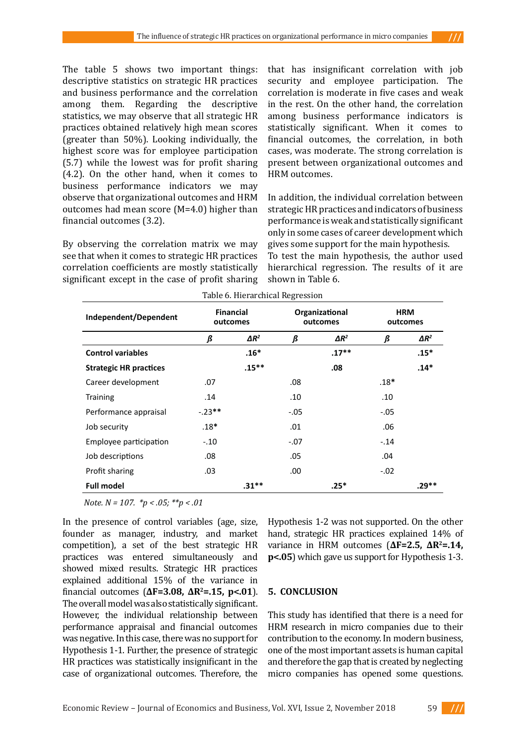The table 5 shows two important things: descriptive statistics on strategic HR practices and business performance and the correlation among them. Regarding the descriptive statistics, we may observe that all strategic HR practices obtained relatively high mean scores (greater than 50%). Looking individually, the highest score was for employee participation (5.7) while the lowest was for profit sharing (4.2). On the other hand, when it comes to business performance indicators we may observe that organizational outcomes and HRM outcomes had mean score (M=4.0) higher than financial outcomes (3.2).

By observing the correlation matrix we may see that when it comes to strategic HR practices correlation coefficients are mostly statistically significant except in the case of profit sharing

that has insignificant correlation with job security and employee participation. The correlation is moderate in five cases and weak in the rest. On the other hand, the correlation among business performance indicators is statistically significant. When it comes to financial outcomes, the correlation, in both cases, was moderate. The strong correlation is present between organizational outcomes and HRM outcomes.

In addition, the individual correlation between strategic HR practices and indicators of business performance is weak and statistically significant only in some cases of career development which gives some support for the main hypothesis. To test the main hypothesis, the author used hierarchical regression. The results of it are shown in Table 6.

|                               |                              |              | ັ      |                            |                        |              |
|-------------------------------|------------------------------|--------------|--------|----------------------------|------------------------|--------------|
| Independent/Dependent         | <b>Financial</b><br>outcomes |              |        | Organizational<br>outcomes | <b>HRM</b><br>outcomes |              |
|                               | ß                            | $\Delta R^2$ | ß      | $\Delta R^2$               | ß                      | $\Delta R^2$ |
| <b>Control variables</b>      |                              | $.16*$       |        | $.17***$                   |                        | $.15*$       |
| <b>Strategic HR practices</b> |                              | $.15***$     |        | .08                        |                        | $.14*$       |
| Career development            | .07                          |              | .08    |                            | $.18*$                 |              |
| <b>Training</b>               | .14                          |              | .10    |                            | .10                    |              |
| Performance appraisal         | $-23**$                      |              | $-.05$ |                            | $-.05$                 |              |
| Job security                  | $.18*$                       |              | .01    |                            | .06                    |              |
| Employee participation        | $-.10$                       |              | $-.07$ |                            | $-.14$                 |              |
| Job descriptions              | .08                          |              | .05    |                            | .04                    |              |
| Profit sharing                | .03                          |              | .00    |                            | $-.02$                 |              |
| <b>Full model</b>             |                              | $.31**$      |        | $.25*$                     |                        | .29**        |

Table 6. Hierarchical Regression

 *Note. N = 107. \*p < .05; \*\*p < .01*

In the presence of control variables (age, size, founder as manager, industry, and market competition), a set of the best strategic HR practices was entered simultaneously and showed mixed results. Strategic HR practices explained additional 15% of the variance in financial outcomes (**ΔF=3.08, ΔR<sup>2</sup>=.15, p<.01**). The overall model was also statistically significant. However, the individual relationship between performance appraisal and financial outcomes was negative. In this case, there was no support for Hypothesis 1-1. Further, the presence of strategic HR practices was statistically insignificant in the case of organizational outcomes. Therefore, the

Hypothesis 1-2 was not supported. On the other hand, strategic HR practices explained 14% of variance in HRM outcomes (**ΔF=2.5, ΔR<sup>2</sup>=.14, p<.05**) which gave us support for Hypothesis 1-3.

# **5. CONCLUSION**

This study has identified that there is a need for HRM research in micro companies due to their contribution to the economy. In modern business, one of the most important assets is human capital and therefore the gap that is created by neglecting micro companies has opened some questions.

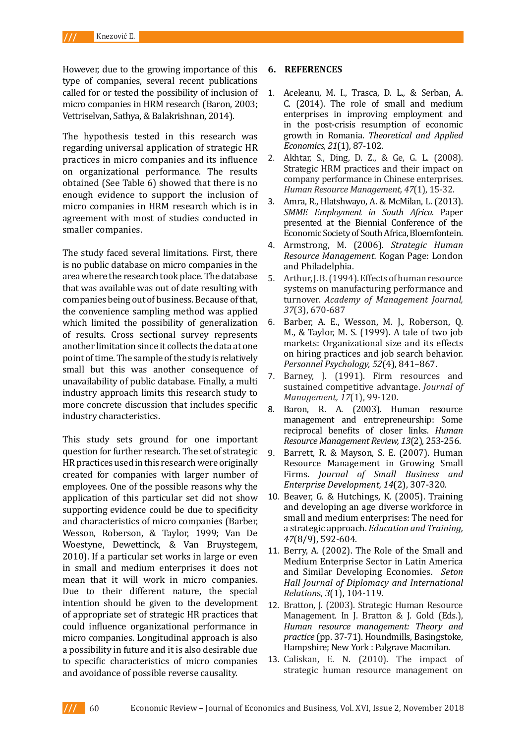However, due to the growing importance of this type of companies, several recent publications called for or tested the possibility of inclusion of micro companies in HRM research (Baron, 2003; Vettriselvan, Sathya, & Balakrishnan, 2014).

The hypothesis tested in this research was regarding universal application of strategic HR practices in micro companies and its influence on organizational performance. The results obtained (See Table 6) showed that there is no enough evidence to support the inclusion of micro companies in HRM research which is in agreement with most of studies conducted in smaller companies.

The study faced several limitations. First, there is no public database on micro companies in the area where the research took place. The database that was available was out of date resulting with companies being out of business. Because of that, the convenience sampling method was applied which limited the possibility of generalization of results. Cross sectional survey represents another limitation since it collects the data at one point of time. The sample of the study is relatively small but this was another consequence of unavailability of public database. Finally, a multi industry approach limits this research study to more concrete discussion that includes specific industry characteristics.

This study sets ground for one important question for further research. The set of strategic HR practices used in this research were originally created for companies with larger number of employees. One of the possible reasons why the application of this particular set did not show supporting evidence could be due to specificity and characteristics of micro companies (Barber, Wesson, Roberson, & Taylor, 1999; Van De Woestyne, Dewettinck, & Van Bruystegem, 2010). If a particular set works in large or even in small and medium enterprises it does not mean that it will work in micro companies. Due to their different nature, the special intention should be given to the development of appropriate set of strategic HR practices that could influence organizational performance in micro companies. Longitudinal approach is also a possibility in future and it is also desirable due to specific characteristics of micro companies and avoidance of possible reverse causality.

#### **6. REFERENCES**

- 1. Aceleanu, M. I., Trasca, D. L., & Serban, A. C. (2014). The role of small and medium enterprises in improving employment and in the post-crisis resumption of economic growth in Romania. *Theoretical and Applied Economics, 21*(1), 87-102.
- 2. Akhtar, S., Ding, D. Z., & Ge, G. L. (2008). Strategic HRM practices and their impact on company performance in Chinese enterprises. *Human Resource Management, 47*(1), 15-32.
- 3. Amra, R., Hlatshwayo, A. & McMilan, L. (2013). *SMME Employment in South Africa*. Paper presented at the Biennial Conference of the Economic Society of South Africa, Bloemfontein.
- 4. Armstrong, M. (2006). *Strategic Human Resource Management.* Kogan Page: London and Philadelphia.
- 5. Arthur, J. B. (1994). Effects of human resource systems on manufacturing performance and turnover. *Academy of Management Journal, 37*(3), 670-687
- 6. Barber, A. E., Wesson, M. J., Roberson, Q. M., & Taylor, M. S. (1999). A tale of two job markets: Organizational size and its effects on hiring practices and job search behavior. *Personnel Psychology, 52*(4), 841–867.
- 7. Barney, J. (1991). Firm resources and sustained competitive advantage. *Journal of Management, 17*(1), 99-120.
- 8. Baron, R. A. (2003). Human resource management and entrepreneurship: Some reciprocal benefits of closer links. *Human Resource Management Review, 13*(2), 253-256.
- 9. Barrett, R. & Mayson, S. E. (2007). Human Resource Management in Growing Small Firms. *Journal of Small Business and Enterprise Development, 14*(2), 307-320.
- 10. Beaver, G. & Hutchings, K. (2005). Training and developing an age diverse workforce in small and medium enterprises: The need for a strategic approach. *Education and Training, 47*(8/9), 592-604.
- 11. Berry, A. (2002). The Role of the Small and Medium Enterprise Sector in Latin America and Similar Developing Economies. *Seton Hall Journal of Diplomacy and International Relation*s, *3*(1), 104-119.
- 12. Bratton, J. (2003). Strategic Human Resource Management. In J. Bratton & J. Gold (Eds.), *Human resource management: Theory and practice* (pp. 37-71). Houndmills, Basingstoke, Hampshire; New York : Palgrave Macmilan.
- 13. Caliskan, E. N. (2010). The impact of strategic human resource management on

 $III$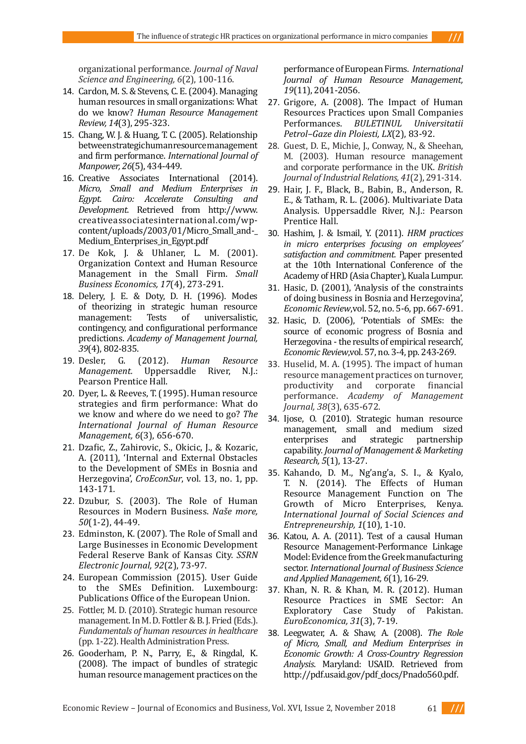organizational performance. *Journal of Naval Science and Engineering, 6*(2), 100-116.

- 14. Cardon, M. S. & Stevens, C. E. (2004). Managing human resources in small organizations: What do we know? *Human Resource Management Review, 14*(3), 295-323.
- 15. Chang, W. J. & Huang, T. C. (2005). Relationship between strategic human resource management and firm performance. *International Journal of Manpower, 26*(5), 434-449.
- 16. Creative Associates International (2014). *Micro, Small and Medium Enterprises in Egypt. Cairo: Accelerate Consulting and Development.* Retrieved from http://www. creativeassociatesinternational.com/wpcontent/uploads/2003/01/Micro Small and-Medium\_Enterprises\_in\_Egypt.pdf
- 17. De Kok, J. & Uhlaner, L. M. (2001). Organization Context and Human Resource Management in the Small Firm. *Small Business Economics, 17*(4), 273-291.
- 18. Delery, J. E. & Doty, D. H. (1996). Modes of theorizing in strategic human resource<br>management: Tests of universalistic. universalistic. contingency, and configurational performance predictions. *Academy of Management Journal,*
- *39*(4), 802-835.<br>**19.** Desler, G. 19. Desler, G. (2012). *Human Resource Management.* Uppersaddle River, N.J.: Pearson Prentice Hall.
- 20. Dyer, L. & Reeves, T. (1995). Human resource strategies and firm performance: What do we know and where do we need to go? *The International Journal of Human Resource Management, 6*(3), 656-670.
- 21. Dzafic, Z., Zahirovic, S., Okicic, J., & Kozaric, A. (2011), 'Internal and External Obstacles to the Development of SMEs in Bosnia and Herzegovina', *CroEconSur*, vol. 13, no. 1, pp. 143-171.
- 22. Dzubur, S. (2003). The Role of Human Resources in Modern Business. *Naše more, 50*(1-2), 44-49.
- 23. Edminston, K. (2007). The Role of Small and Large Businesses in Economic Development Federal Reserve Bank of Kansas City. *SSRN Electronic Journal, 92*(2), 73-97.
- 24. European Commission (2015). User Guide to the SMEs Definition. Luxembourg: Publications Office of the European Union.
- 25. Fottler, M. D. (2010). Strategic human resource management. In M. D. Fottler & B. J. Fried (Eds.). *Fundamentals of human resources in healthcare*  (pp. 1-22). Health Administration Press.
- 26. Gooderham, P. N., Parry, E., & Ringdal, K. (2008). The impact of bundles of strategic human resource management practices on the

performance of European Firms. *International Journal of Human Resource Management, 19*(11), 2041-2056.

- 27. Grigore, A. (2008). The Impact of Human Resources Practices upon Small Companies Performances. *BULETINUL Universitatii Petrol–Gaze din Ploiesti, LX*(2), 83-92.
- 28. Guest, D. E., Michie, J., Conway, N., & Sheehan, M. (2003). Human resource management and corporate performance in the UK. *British Journal of Industrial Relations, 41*(2), 291-314.
- 29. Hair, J. F., Black, B., Babin, B., Anderson, R. E., & Tatham, R. L. (2006). Multivariate Data Analysis. Uppersaddle River, N.J.: Pearson Prentice Hall.
- 30. Hashim, J. & Ismail, Y. (2011). *HRM practices in micro enterprises focusing on employees' satisfaction and commitment.* Paper presented at the 10th International Conference of the Academy of HRD (Asia Chapter), Kuala Lumpur.
- 31. Hasic, D. (2001), 'Analysis of the constraints of doing business in Bosnia and Herzegovina', *Economic Review*,vol. 52, no. 5-6, pp. 667-691.
- 32. Hasic, D. (2006), 'Potentials of SMEs: the source of economic progress of Bosnia and Herzegovina - the results of empirical research', *Economic Review*,vol. 57, no. 3-4, pp. 243-269.
- 33. Huselid, M. A. (1995). The impact of human resource management practices on turnover, productivity and corporate financial performance. *Academy of Management Journal, 38*(3), 635-672.
- 34. Ijose, O. (2010). Strategic human resource management, small and medium sized<br>enterprises and strategic partnership enterprises and strategic partnership capability. *Journal of Management & Marketing Research, 5*(1), 13-27.
- 35. Kahando, D. M., Ng'ang'a, S. I., & Kyalo, T. N. (2014). The Effects of Human Resource Management Function on The Growth of Micro Enterprises, Kenya. *International Journal of Social Sciences and Entrepreneurship, 1*(10), 1-10.
- 36. Katou, A. A. (2011). Test of a causal Human Resource Management-Performance Linkage Model: Evidence from the Greek manufacturing sector. *International Journal of Business Science and Applied Management, 6*(1), 16-29.
- 37. Khan, N. R. & Khan, M. R. (2012). Human Resource Practices in SME Sector: An Exploratory Case Study of Pakistan. *EuroEconomica, 31*(3), 7-19.
- 38. Leegwater, A. & Shaw, A. (2008). *The Role of Micro, Small, and Medium Enterprises in Economic Growth: A Cross-Country Regression Analysis*. Maryland: USAID. Retrieved from http://pdf.usaid.gov/pdf\_docs/Pnado560.pdf.